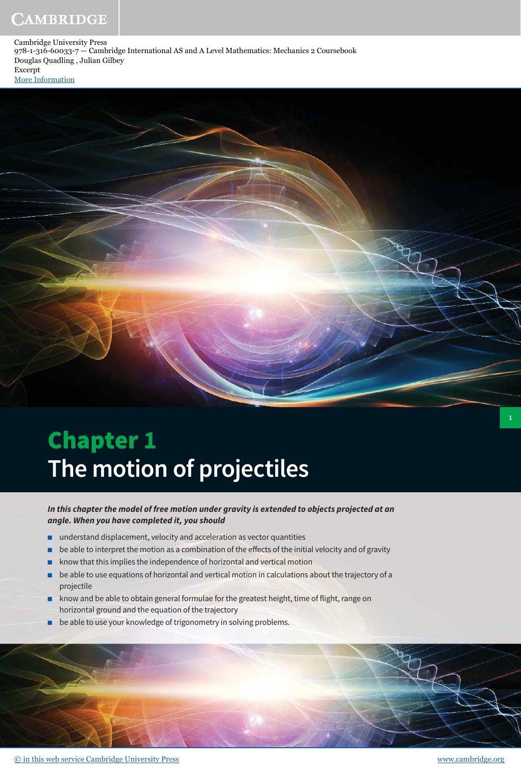Cambridge University Press 978-1-316-60033-7 — Cambridge International AS and A Level Mathematics: Mechanics 2 Coursebook Douglas Quadling , Julian Gilbey Excerpt

[More Information](www.cambridge.org/9781316600337)

# Chapter **1 The motion of projectiles**

**In this chapter the model of free motion under gravity is extended to objects projected at an angle. When you have completed it, you should**

- understand displacement, velocity and acceleration as vector quantities
- be able to interpret the motion as a combination of the effects of the initial velocity and of gravity
- know that this implies the independence of horizontal and vertical motion
- be able to use equations of horizontal and vertical motion in calculations about the trajectory of a projectile
- know and be able to obtain general formulae for the greatest height, time of flight, range on horizontal ground and the equation of the trajectory
- be able to use your knowledge of trigonometry in solving problems.



**1**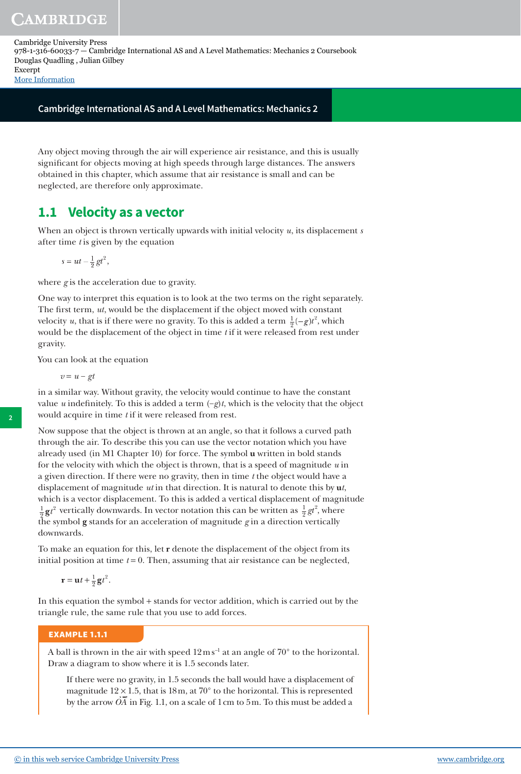Cambridge University Press 978-1-316-60033-7 — Cambridge International AS and A Level Mathematics: Mechanics 2 Coursebook Douglas Quadling , Julian Gilbey Excerpt

[More Information](www.cambridge.org/9781316600337)

### **Cambridge International AS and A Level Mathematics: Mechanics 2**

Any object moving through the air will experience air resistance, and this is usually significant for objects moving at high speeds through large distances. The answers obtained in this chapter, which assume that air resistance is small and can be neglected, are therefore only approximate.

### **1.1 Velocity as a vector**

When an object is thrown vertically upwards with initial velocity *u*, its displacement *s*  after time *t* is given by the equation

 $s = ut - \frac{1}{2}gt$ 2 2 ,

where *g* is the acceleration due to gravity.

One way to interpret this equation is to look at the two terms on the right separately. The first term, *ut*, would be the displacement if the object moved with constant velocity *u*, that is if there were no gravity. To this is added a term  $\frac{1}{2}$  $(-g)t^2$ , which would be the displacement of the object in time *t* if it were released from rest under gravity.

You can look at the equation

 $v = u - gt$ 

in a similar way. Without gravity, the velocity would continue to have the constant value *u* indefinitely. To this is added a term  $(-g)t$ , which is the velocity that the object would acquire in time *t* if it were released from rest.

Now suppose that the object is thrown at an angle, so that it follows a curved path through the air. To describe this you can use the vector notation which you have already used (in M1 Chapter 10) for force. The symbol **u** written in bold stands for the velocity with which the object is thrown, that is a speed of magnitude *u* in a given direction. If there were no gravity, then in time *t* the object would have a displacement of magnitude *ut* in that direction. It is natural to denote this by **u***t*, which is a vector displacement. To this is added a vertical displacement of magnitude 1 2  $gt^2$  vertically downwards. In vector notation this can be written as  $\frac{1}{2}$  $gt^2$ , where the symbol **g** stands for an acceleration of magnitude *g* in a direction vertically downwards.

To make an equation for this, let **r** denote the displacement of the object from its initial position at time  $t = 0$ . Then, assuming that air resistance can be neglected,

$$
\mathbf{r} = \mathbf{u}t + \frac{1}{2}\mathbf{g}t^2.
$$

In this equation the symbol + stands for vector addition, which is carried out by the triangle rule, the same rule that you use to add forces.

### **EXAMPLE 1.1.1**

A ball is thrown in the air with speed  $12 \text{ m s}^{-1}$  at an angle of  $70^{\circ}$  to the horizontal. Draw a diagram to show where it is 1.5 seconds later.

If there were no gravity, in 1.5 seconds the ball would have a displacement of magnitude  $12 \times 1.5$ , that is 18m, at 70 $^{\circ}$  to the horizontal. This is represented by the arrow  $\overrightarrow{OA}$  in Fig. 1.1, on a scale of 1 cm to 5 m. To this must be added a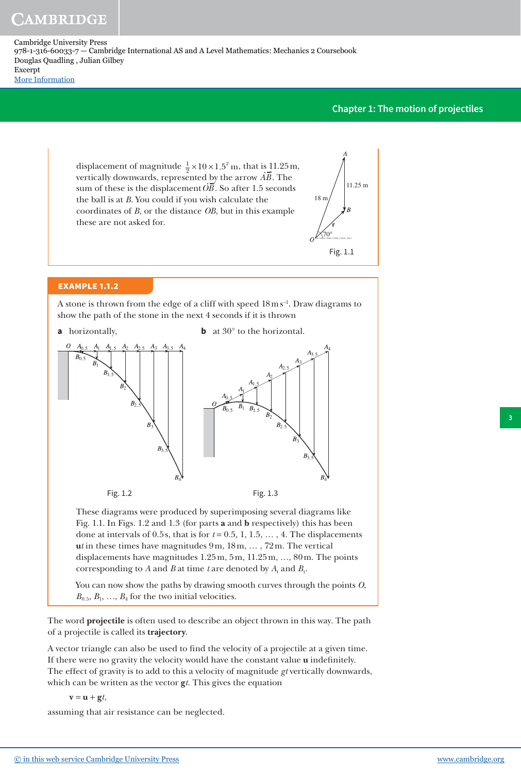Cambridge University Press 978-1-316-60033-7 — Cambridge International AS and A Level Mathematics: Mechanics 2 Coursebook Douglas Quadling , Julian Gilbey Excerpt [More Information](www.cambridge.org/9781316600337)

### **Chapter 1: The motion of projectiles**

displacement of magnitude  $\frac{1}{2} \times 10 \times 1.5^2$  m, that is 11.25 m, vertically downwards, represented by the arrow AB. The sum of these is the displacement  $\overrightarrow{OB}$ . So after 1.5 seconds the ball is at *B*. You could if you wish calculate the coordinates of *B*, or the distance *OB*, but in this example these are not asked for.



### **EXAMPLE 1.1.2**

A stone is thrown from the edge of a cliff with speed 18 ms<sup>-1</sup>. Draw diagrams to show the path of the stone in the next 4 seconds if it is thrown



These diagrams were produced by superimposing several diagrams like Fig. 1.1. In Figs. 1.2 and 1.3 (for parts **a** and **b** respectively) this has been done at intervals of 0.5s, that is for  $t = 0.5, 1, 1.5, \ldots, 4$ . The displacements **u***t* in these times have magnitudes 9m, 18m, … , 72m. The vertical displacements have magnitudes 1.25m, 5m, 11.25m, …, 80m. The points corresponding to  $A$  and  $B$  at time  $t$  are denoted by  $A_t$  and  $B_t$ .

You can now show the paths by drawing smooth curves through the points *O*,  $B_{0.5}, B_1, \ldots, B_4$  for the two initial velocities.

The word **projectile** is often used to describe an object thrown in this way. The path of a projectile is called its **trajectory**.

A vector triangle can also be used to find the velocity of a projectile at a given time. If there were no gravity the velocity would have the constant value **u** indefinitely. The effect of gravity is to add to this a velocity of magnitude *gt* vertically downwards, which can be written as the vector **g***t*. This gives the equation

 $\mathbf{v} = \mathbf{u} + \mathbf{g}t$ ,

assuming that air resistance can be neglected.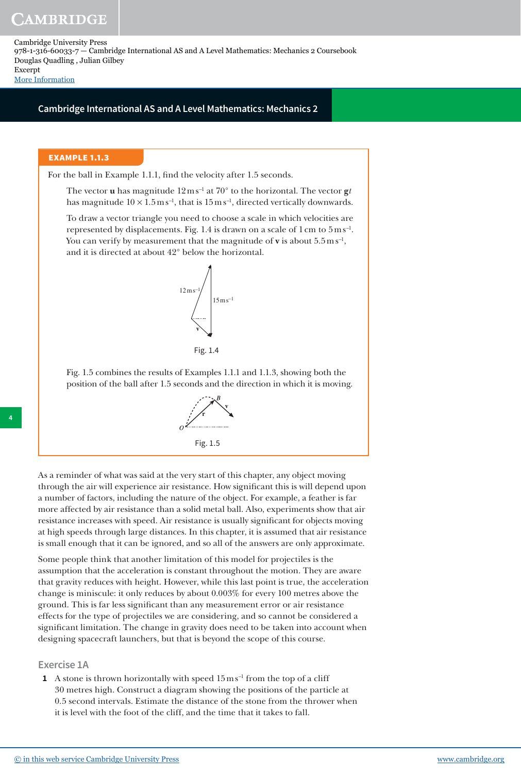Cambridge University Press 978-1-316-60033-7 — Cambridge International AS and A Level Mathematics: Mechanics 2 Coursebook Douglas Quadling , Julian Gilbey Excerpt

[More Information](www.cambridge.org/9781316600337)

### **Cambridge International AS and A Level Mathematics: Mechanics 2**

#### **EXAMPLE 1.1.3**

For the ball in Example 1.1.1, find the velocity after 1.5 seconds.

The vector **u** has magnitude  $12 \text{ m s}^{-1}$  at  $70^{\circ}$  to the horizontal. The vector  $\mathbf{g}t$ has magnitude  $10 \times 1.5 \,\mathrm{m\,s^{-1}}$ , that is  $15 \,\mathrm{m\,s^{-1}}$ , directed vertically downwards.

To draw a vector triangle you need to choose a scale in which velocities are represented by displacements. Fig. 1.4 is drawn on a scale of 1 cm to 5 ms<sup>-1</sup>. You can verify by measurement that the magnitude of **v** is about 5.5ms −1 , and it is directed at about 42° below the horizontal.



Fig. 1.5 combines the results of Examples 1.1.1 and 1.1.3, showing both the position of the ball after 1.5 seconds and the direction in which it is moving.

> **v r** Fig. 1.5

As a reminder of what was said at the very start of this chapter, any object moving through the air will experience air resistance. How significant this is will depend upon a number of factors, including the nature of the object. For example, a feather is far more affected by air resistance than a solid metal ball. Also, experiments show that air resistance increases with speed. Air resistance is usually significant for objects moving at high speeds through large distances. In this chapter, it is assumed that air resistance is small enough that it can be ignored, and so all of the answers are only approximate.

Some people think that another limitation of this model for projectiles is the assumption that the acceleration is constant throughout the motion. They are aware that gravity reduces with height. However, while this last point is true, the acceleration change is miniscule: it only reduces by about 0.003% for every 100 metres above the ground. This is far less significant than any measurement error or air resistance effects for the type of projectiles we are considering, and so cannot be considered a significant limitation. The change in gravity does need to be taken into account when designing spacecraft launchers, but that is beyond the scope of this course.

#### **Exercise 1A**

**1** A stone is thrown horizontally with speed  $15 \text{ m s}^{-1}$  from the top of a cliff 30 metres high. Construct a diagram showing the positions of the particle at 0.5 second intervals. Estimate the distance of the stone from the thrower when it is level with the foot of the cliff, and the time that it takes to fall.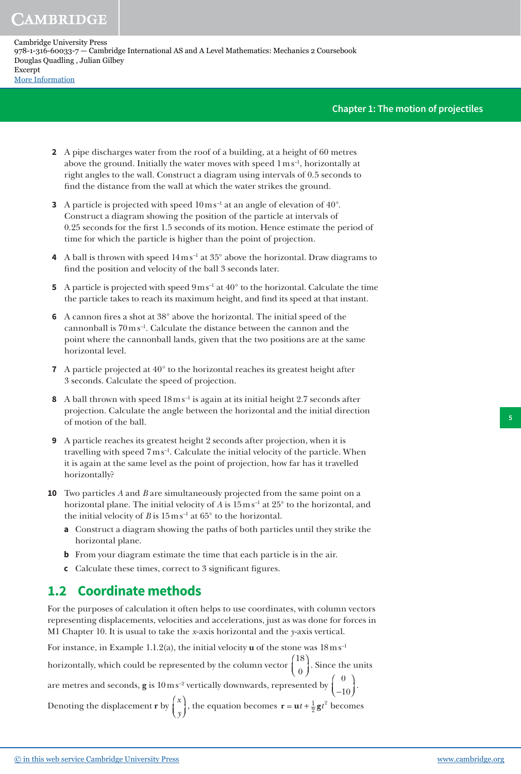Cambridge University Press 978-1-316-60033-7 — Cambridge International AS and A Level Mathematics: Mechanics 2 Coursebook Douglas Quadling , Julian Gilbey Excerpt [More Information](www.cambridge.org/9781316600337)

### **Chapter 1: The motion of projectiles**

- **2** A pipe discharges water from the roof of a building, at a height of 60 metres above the ground. Initially the water moves with speed  $1 \text{ m s}^{-1}$ , horizontally at right angles to the wall. Construct a diagram using intervals of 0.5 seconds to find the distance from the wall at which the water strikes the ground.
- **3** A particle is projected with speed  $10 \text{ m s}$ <sup>-1</sup> at an angle of elevation of 40°. Construct a diagram showing the position of the particle at intervals of 0.25 seconds for the first 1.5 seconds of its motion. Hence estimate the period of time for which the particle is higher than the point of projection.
- **4** A ball is thrown with speed 14 m s<sup>-1</sup> at 35° above the horizontal. Draw diagrams to find the position and velocity of the ball 3 seconds later.
- **5** A particle is projected with speed  $9 \text{ m s}$ <sup>-1</sup> at  $40°$  to the horizontal. Calculate the time the particle takes to reach its maximum height, and find its speed at that instant.
- **6** A cannon fires a shot at 38° above the horizontal. The initial speed of the cannonball is  $70 \text{ m}\text{s}^{-1}$ . Calculate the distance between the cannon and the point where the cannonball lands, given that the two positions are at the same horizontal level.
- **7** A particle projected at 40° to the horizontal reaches its greatest height after 3 seconds. Calculate the speed of projection.
- 8 A ball thrown with speed  $18 \text{ m s}^{-1}$  is again at its initial height 2.7 seconds after projection. Calculate the angle between the horizontal and the initial direction of motion of the ball.
- **9** A particle reaches its greatest height 2 seconds after projection, when it is travelling with speed  $7 \text{ m s}^{-1}$ . Calculate the initial velocity of the particle. When it is again at the same level as the point of projection, how far has it travelled horizontally?
- **10** Two particles *A* and *B* are simultaneously projected from the same point on a horizontal plane. The initial velocity of *A* is  $15 \text{ m}\text{ s}^{-1}$  at  $25^{\circ}$  to the horizontal, and the initial velocity of  $B$  is  $15 \text{ m s}^{-1}$  at  $65^{\circ}$  to the horizontal.
	- **a** Construct a diagram showing the paths of both particles until they strike the horizontal plane.
	- **b** From your diagram estimate the time that each particle is in the air.
	- **c** Calculate these times, correct to 3 significant figures.

# **1.2 Coordinate methods**

For the purposes of calculation it often helps to use coordinates, with column vectors representing displacements, velocities and accelerations, just as was done for forces in M1 Chapter 10. It is usual to take the *x*-axis horizontal and the *y*-axis vertical.

For instance, in Example 1.1.2(a), the initial velocity **u** of the stone was 18ms −1 horizontally, which could be represented by the column vector 18  $\left(\begin{array}{c} 0 \end{array}\right)$ l  $\overline{a}$  . Since the units are metres and seconds, **g** is  $10 \text{ m}\text{ s}^{-2}$  vertically downwards, represented by 0 −10 ſ l  $\overline{a}$  $\int$ Denoting the displacement **r** by  $\int_0^{\infty}$ *y* ſ l  $\overline{a}$ , the equation becomes  $\mathbf{r} = \mathbf{u}t + \frac{1}{2}\mathbf{g}t$ 2  $\mathbf{g}t^2$  becomes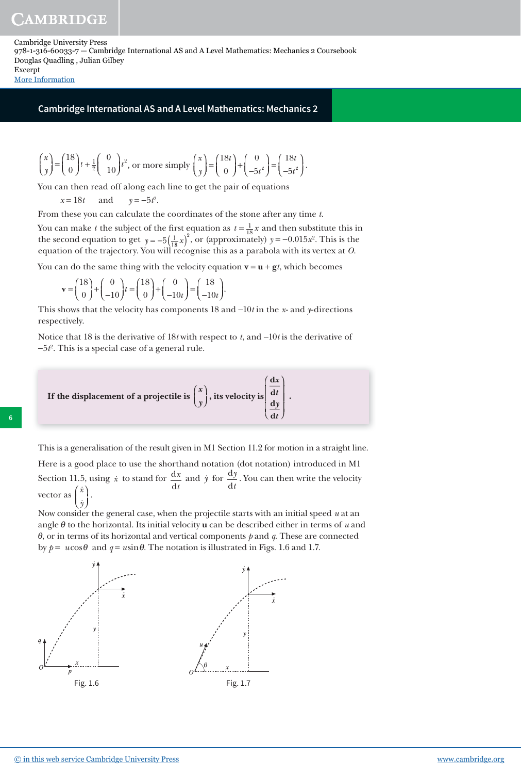Cambridge University Press 978-1-316-60033-7 — Cambridge International AS and A Level Mathematics: Mechanics 2 Coursebook Douglas Quadling , Julian Gilbey Excerpt

[More Information](www.cambridge.org/9781316600337)

**Cambridge International AS and A Level Mathematics: Mechanics 2**

$$
\begin{pmatrix} x \\ y \end{pmatrix} = \begin{pmatrix} 18 \\ 0 \end{pmatrix} t + \frac{1}{2} \begin{pmatrix} 0 \\ -10 \end{pmatrix} t^2
$$
, or more simply 
$$
\begin{pmatrix} x \\ y \end{pmatrix} = \begin{pmatrix} 18t \\ 0 \end{pmatrix} + \begin{pmatrix} 0 \\ -5t^2 \end{pmatrix} = \begin{pmatrix} 18t \\ -5t^2 \end{pmatrix}.
$$

You can then read off along each line to get the pair of equations

 $x = 18t$  and  $y = -5t^2$ .

From these you can calculate the coordinates of the stone after any time *t*.

You can make *t* the subject of the first equation as  $t = \frac{1}{18}x$  and then substitute this in the second equation to get  $y = -5(\frac{1}{18}x)^2$ <sup>2</sup>, or (approximately)  $y = -0.015x^2$ . This is the equation of the trajectory. You will recognise this as a parabola with its vertex at *O*.

You can do the same thing with the velocity equation  $\mathbf{v} = \mathbf{u} + \mathbf{g}t$ , which becomes

$$
\mathbf{v} = \begin{pmatrix} 18 \\ 0 \end{pmatrix} + \begin{pmatrix} 0 \\ -10 \end{pmatrix} t = \begin{pmatrix} 18 \\ 0 \end{pmatrix} + \begin{pmatrix} 0 \\ -10t \end{pmatrix} = \begin{pmatrix} 18 \\ -10t \end{pmatrix}.
$$

This shows that the velocity has components 18 and −10*t* in the *x*- and *y*-directions respectively.

Notice that 18 is the derivative of 18*t* with respect to *t*, and −10*t* is the derivative of −5*t* 2 . This is a special case of a general rule.

**If the displacement of a projectile is x y** ſ  $\overline{\mathcal{L}}$  $\overline{a}$  $\left| \int f(x) \right|$ , its velocity is  $\left| \begin{array}{c} \mathbf{u}_t \\ \mathbf{d}_y \end{array} \right|$ . **d d d d x t y t** ſ l ļ. ļ. I  $\overline{a}$  $\overline{1}$ 

This is a generalisation of the result given in M1 Section 11.2 for motion in a straight line.

Here is a good place to use the shorthand notation (dot notation) introduced in M1 Section 11.5, using  $\dot{x}$  to stand for  $\frac{d}{d\tau}$ d *x t* and  $\dot{y}$  for  $\frac{d}{dx}$ d *y t* . You can then write the velocity vector as  $\begin{bmatrix} 1 \\ 1 \\ 0 \end{bmatrix}$  $\dot{x}$ *x y* ſ l  $\overline{a}$  $\overline{)}$ .

Now consider the general case, when the projectile starts with an initial speed *u* at an angle θ to the horizontal. Its initial velocity **u** can be described either in terms of *u* and θ, or in terms of its horizontal and vertical components *p* and *q*. These are connected by  $p = u \cos \theta$  and  $q = u \sin \theta$ . The notation is illustrated in Figs. 1.6 and 1.7.

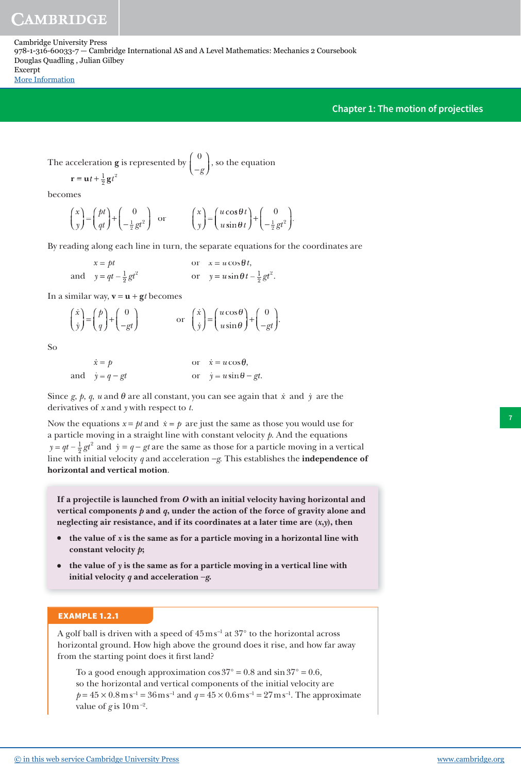Cambridge University Press 978-1-316-60033-7 — Cambridge International AS and A Level Mathematics: Mechanics 2 Coursebook Douglas Quadling , Julian Gilbey Excerpt [More Information](www.cambridge.org/9781316600337)

### **Chapter 1: The motion of projectiles**

The acceleration **g** is represented by 
$$
\begin{pmatrix} 0 \\ -g \end{pmatrix}
$$
, so the equation  $\mathbf{r} = \mathbf{u}t + \frac{1}{2}\mathbf{g}t^2$ 

$$
becomes\\
$$

$$
\begin{pmatrix} x \\ y \end{pmatrix} = \begin{pmatrix} pt \\ qt \end{pmatrix} + \begin{pmatrix} 0 \\ -\frac{1}{2}gt^2 \end{pmatrix}
$$
 or 
$$
\begin{pmatrix} x \\ y \end{pmatrix} = \begin{pmatrix} u\cos\theta t \\ u\sin\theta t \end{pmatrix} + \begin{pmatrix} 0 \\ -\frac{1}{2}gt^2 \end{pmatrix}.
$$

By reading along each line in turn, the separate equations for the coordinates are

$$
x = pt
$$
 or  $x = u \cos \theta t$ ,  
and  $y = qt - \frac{1}{2}gt^2$  or  $y = u \sin \theta t - \frac{1}{2}gt^2$ .

In a similar way,  $\mathbf{v} = \mathbf{u} + \mathbf{g}t$  becomes

2

$$
\begin{pmatrix} \dot{x} \\ \dot{y} \end{pmatrix} = \begin{pmatrix} p \\ q \end{pmatrix} + \begin{pmatrix} 0 \\ -gt \end{pmatrix} \qquad \text{or } \begin{pmatrix} \dot{x} \\ \dot{y} \end{pmatrix} = \begin{pmatrix} u\cos\theta \\ u\sin\theta \end{pmatrix} + \begin{pmatrix} 0 \\ -gt \end{pmatrix}.
$$

So

$$
\dot{x} = p \qquad \text{or} \quad \dot{x} = u\cos\theta,
$$
  
and 
$$
\dot{y} = q - gt \qquad \text{or} \quad \dot{y} = u\sin\theta - gt.
$$

Since *g*, *p*, *q*, *u* and  $\theta$  are all constant, you can see again that  $\dot{x}$  and  $\dot{y}$  are the derivatives of *x* and *y* with respect to *t*.

Now the equations  $x = pt$  and  $\dot{x} = p$  are just the same as those you would use for a particle moving in a straight line with constant velocity *p*. And the equations  $y = qt - \frac{1}{2}gt$ 2 <sup>2</sup> and  $\dot{y} = q - gt$  are the same as those for a particle moving in a vertical line with initial velocity *q* and acceleration −*g*. This establishes the **independence of horizontal and vertical motion**.

**If a projectile is launched from O with an initial velocity having horizontal and vertical components p and q, under the action of the force of gravity alone and neglecting air resistance, and if its coordinates at a later time are (x,y), then**

- ● **the value of x is the same as for a particle moving in a horizontal line with constant velocity p;**
- ● **the value of y is the same as for a particle moving in a vertical line with initial velocity q and acceleration** −**g.**

#### **EXAMPLE 1.2.1**

A golf ball is driven with a speed of  $45 \,\mathrm{m}\,\mathrm{s}^{-1}$  at  $37^{\circ}$  to the horizontal across horizontal ground. How high above the ground does it rise, and how far away from the starting point does it first land?

To a good enough approximation  $\cos 37^\circ = 0.8$  and  $\sin 37^\circ = 0.6$ , so the horizontal and vertical components of the initial velocity are  $p = 45 \times 0.8 \,\text{m s}^{-1} = 36 \,\text{m s}^{-1}$  and  $q = 45 \times 0.6 \,\text{m s}^{-1} = 27 \,\text{m s}^{-1}$ . The approximate value of  $g$  is  $10 \text{ m}^{-2}$ .

**7**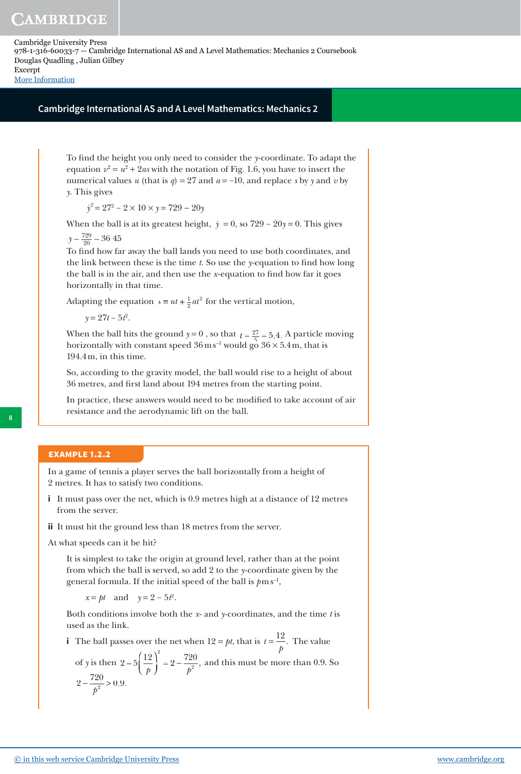Cambridge University Press 978-1-316-60033-7 — Cambridge International AS and A Level Mathematics: Mechanics 2 Coursebook Douglas Quadling , Julian Gilbey Excerpt

[More Information](www.cambridge.org/9781316600337)

### **Cambridge International AS and A Level Mathematics: Mechanics 2**

To find the height you only need to consider the *y*-coordinate. To adapt the equation  $v^2 = u^2 + 2as$  with the notation of Fig. 1.6, you have to insert the numerical values *u* (that is  $q$ ) = 27 and  $a = -10$ , and replace *s* by *y* and *v* by *y*. This gives

 $\dot{y}^2 = 27^2 - 2 \times 10 \times y = 729 - 20y$ 

When the ball is at its greatest height,  $\dot{y} = 0$ , so  $729 - 20y = 0$ . This gives

 $y = \frac{729}{20} = 36.45.$ 

To find how far away the ball lands you need to use both coordinates, and the link between these is the time  $t$ . So use the *y*-equation to find how long the ball is in the air, and then use the *x*-equation to find how far it goes horizontally in that time.

Adapting the equation  $s = ut + \frac{1}{2}at$ 2 <sup>2</sup> for the vertical motion,

 $y = 27t - 5t^2$ .

When the ball hits the ground  $y = 0$ , so that  $t = \frac{27}{5}$  $\frac{27}{5}$  = 5.4. A particle moving horizontally with constant speed  $36\,\mathrm{m\,s^{-1}}$  would  $\mathrm{go}~36 \times 5.4\,\mathrm{m},$  that is 194.4m, in this time.

So, according to the gravity model, the ball would rise to a height of about 36 metres, and first land about 194 metres from the starting point.

In practice, these answers would need to be modified to take account of air resistance and the aerodynamic lift on the ball.

#### **EXAMPLE 1.2.2**

In a game of tennis a player serves the ball horizontally from a height of 2 metres. It has to satisfy two conditions.

- **i** It must pass over the net, which is 0.9 metres high at a distance of 12 metres from the server.
- **ii** It must hit the ground less than 18 metres from the server.

At what speeds can it be hit?

It is simplest to take the origin at ground level, rather than at the point from which the ball is served, so add 2 to the *y*-coordinate given by the general formula. If the initial speed of the ball is  $pms^{-1}$ ,

$$
x = pt \quad \text{and} \quad y = 2 - 5t^2.
$$

Both conditions involve both the *x*- and *y*-coordinates, and the time *t* is used as the link.

**i** The ball passes over the net when  $12 = pt$ , that is  $t = \frac{12}{1}$ . The value *p* of *y* is then  $2-5\left(\frac{12}{2}\right)^2 = 2-\frac{720}{2}$ 2 ſ l  $\overline{a}$  $\left(\frac{2}{p}\right)$  = 2 -  $\frac{20}{p^2}$ , and this must be more than 0.9. So  $2 - \frac{720}{h^2} > 0.9$  $.9.$ 

*p*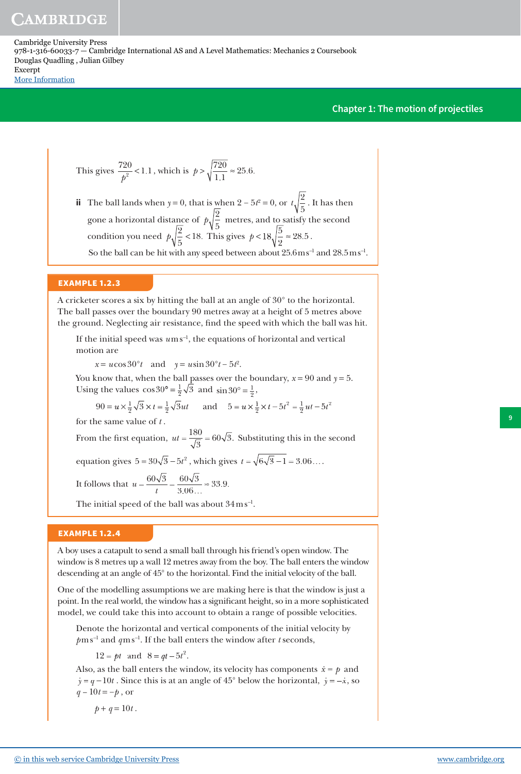Cambridge University Press 978-1-316-60033-7 — Cambridge International AS and A Level Mathematics: Mechanics 2 Coursebook Douglas Quadling , Julian Gilbey Excerpt [More Information](www.cambridge.org/9781316600337)

### **Chapter 1: The motion of projectiles**

This gives 
$$
\frac{720}{p^2} < 1.1
$$
, which is  $p > \sqrt{\frac{720}{1.1}} \approx 25.6$ .

**ii** The ball lands when *y* = 0, that is when  $2 - 5t^2 = 0$ , or  $t\sqrt{\frac{2}{\epsilon}}$ . It has then 5 gone a horizontal distance of  $p\sqrt{\frac{2}{r}}$ 5 metres, and to satisfy the second condition you need  $p\sqrt{\frac{2}{\epsilon}}$  $\frac{2}{5}$  < 18. This gives  $p < 18 \sqrt{\frac{5}{2}} \approx$ 2 28.5 . So the ball can be hit with any speed between about  $25.6 \text{m s}^{-1}$  and  $28.5 \text{m s}^{-1}$ .

#### **EXAMPLE 1.2.3**

A cricketer scores a six by hitting the ball at an angle of 30° to the horizontal. The ball passes over the boundary 90 metres away at a height of 5 metres above the ground. Neglecting air resistance, find the speed with which the ball was hit.

If the initial speed was  $u$ ms<sup>-1</sup>, the equations of horizontal and vertical motion are

 $x = u \cos 30^\circ t$  and  $y = u \sin 30^\circ t - 5t^2$ .

You know that, when the ball passes over the boundary,  $x = 90$  and  $y = 5$ . Using the values  $\cos 30^\circ = \frac{1}{2}\sqrt{3}$  and  $\sin 30^\circ = \frac{1}{2}$  $\degree = \frac{1}{2},$ 

 $90 = u \times \frac{1}{2} \sqrt{3} \times t = \frac{1}{2} \sqrt{3}ut$  and  $5 = u \times \frac{1}{2} \times t - 5$ 1 2 1 2 1 2  $= u \times \frac{1}{2} \sqrt{3} \times t = \frac{1}{2} \sqrt{3} u t$  and  $5 = u \times \frac{1}{2} \times t - 5t^2 = \frac{1}{2} u t - 5t^2$ 

for the same value of *t* .

From the first equation,  $ut = \frac{180}{\sqrt{2}}$ 3  $60\sqrt{3}$ . Substituting this in the second

equation gives  $5 = 30\sqrt{3} - 5t^2$ , which gives  $t = \sqrt{6}\sqrt{3} - 1 = 3.06...$ .

It follows that *u t*  $=\frac{60\sqrt{3}}{60}=\frac{60\sqrt{3}}{3.88}$ 3 06 33.9. …

The initial speed of the ball was about 34 m s<sup>-1</sup>.

#### **EXAMPLE 1.2.4**

A boy uses a catapult to send a small ball through his friend's open window. The window is 8 metres up a wall 12 metres away from the boy. The ball enters the window descending at an angle of 45° to the horizontal. Find the initial velocity of the ball.

One of the modelling assumptions we are making here is that the window is just a point. In the real world, the window has a significant height, so in a more sophisticated model, we could take this into account to obtain a range of possible velocities.

Denote the horizontal and vertical components of the initial velocity by pms<sup>-1</sup> and *q*ms<sup>-1</sup>. If the ball enters the window after *t* seconds,

$$
12 = pt
$$
 and  $8 = qt - 5t^2$ .

Also, as the ball enters the window, its velocity has components  $\dot{x} = p$  and *y* =  $q - 10t$ . Since this is at an angle of 45° below the horizontal, *y* =  $-\dot{x}$ , so *q* − 10*t* = −*p*, or

$$
p+q=10t.
$$